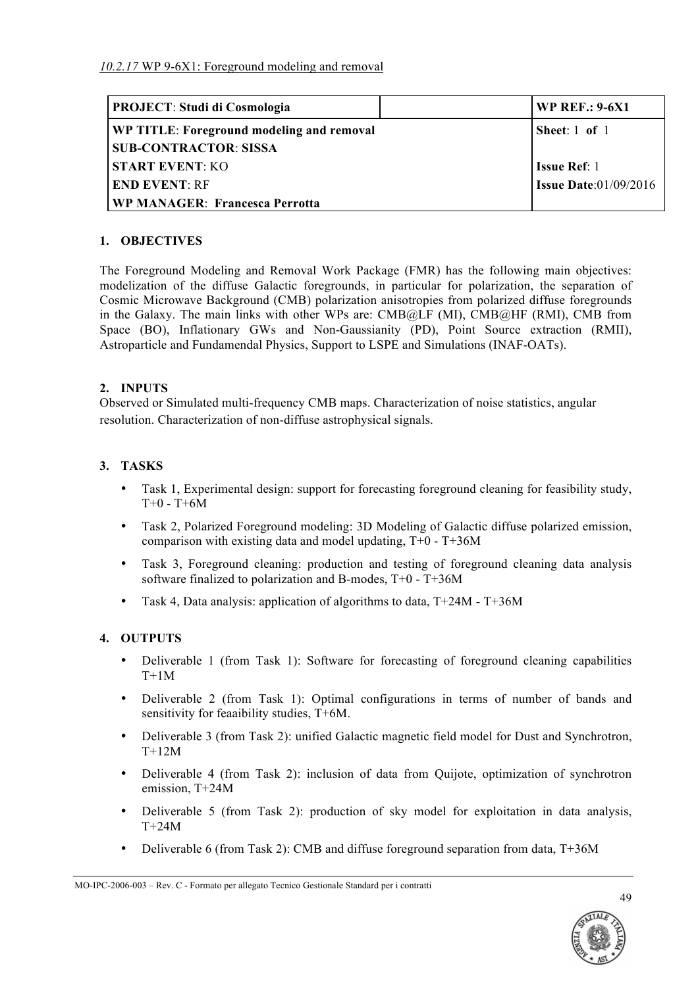| <b>PROJECT: Studi di Cosmologia</b>       | <b>WP REF.: 9-6X1</b>           |
|-------------------------------------------|---------------------------------|
| WP TITLE: Foreground modeling and removal | Sheet: $1$ of $1$               |
| <b>SUB-CONTRACTOR: SISSA</b>              |                                 |
| <b>START EVENT: KO</b>                    | <b>Issue Ref</b> : 1            |
| <b>END EVENT: RF</b>                      | <b>Issue Date:</b> $01/09/2016$ |
| <b>WP MANAGER: Francesca Perrotta</b>     |                                 |

## **1. OBJECTIVES**

The Foreground Modeling and Removal Work Package (FMR) has the following main objectives: modelization of the diffuse Galactic foregrounds, in particular for polarization, the separation of Cosmic Microwave Background (CMB) polarization anisotropies from polarized diffuse foregrounds in the Galaxy. The main links with other WPs are: CMB@LF (MI), CMB@HF (RMI), CMB from Space (BO), Inflationary GWs and Non-Gaussianity (PD), Point Source extraction (RMII), Astroparticle and Fundamendal Physics, Support to LSPE and Simulations (INAF-OATs).

#### **2. INPUTS**

Observed or Simulated multi-frequency CMB maps. Characterization of noise statistics, angular resolution. Characterization of non-diffuse astrophysical signals.

## **3. TASKS**

- Task 1, Experimental design: support for forecasting foreground cleaning for feasibility study,  $T+0 - T+6M$
- Task 2, Polarized Foreground modeling: 3D Modeling of Galactic diffuse polarized emission, comparison with existing data and model updating,  $T+0 - T+36M$
- Task 3, Foreground cleaning: production and testing of foreground cleaning data analysis software finalized to polarization and B-modes, T+0 - T+36M
- Task 4, Data analysis: application of algorithms to data,  $T+24M T+36M$

## **4. OUTPUTS**

- Deliverable 1 (from Task 1): Software for forecasting of foreground cleaning capabilities  $T+1M$
- Deliverable 2 (from Task 1): Optimal configurations in terms of number of bands and sensitivity for feaaibility studies, T+6M.
- Deliverable 3 (from Task 2): unified Galactic magnetic field model for Dust and Synchrotron,  $T+12M$
- Deliverable 4 (from Task 2): inclusion of data from Quijote, optimization of synchrotron emission, T+24M
- Deliverable 5 (from Task 2): production of sky model for exploitation in data analysis, T+24M
- Deliverable 6 (from Task 2): CMB and diffuse foreground separation from data, T+36M